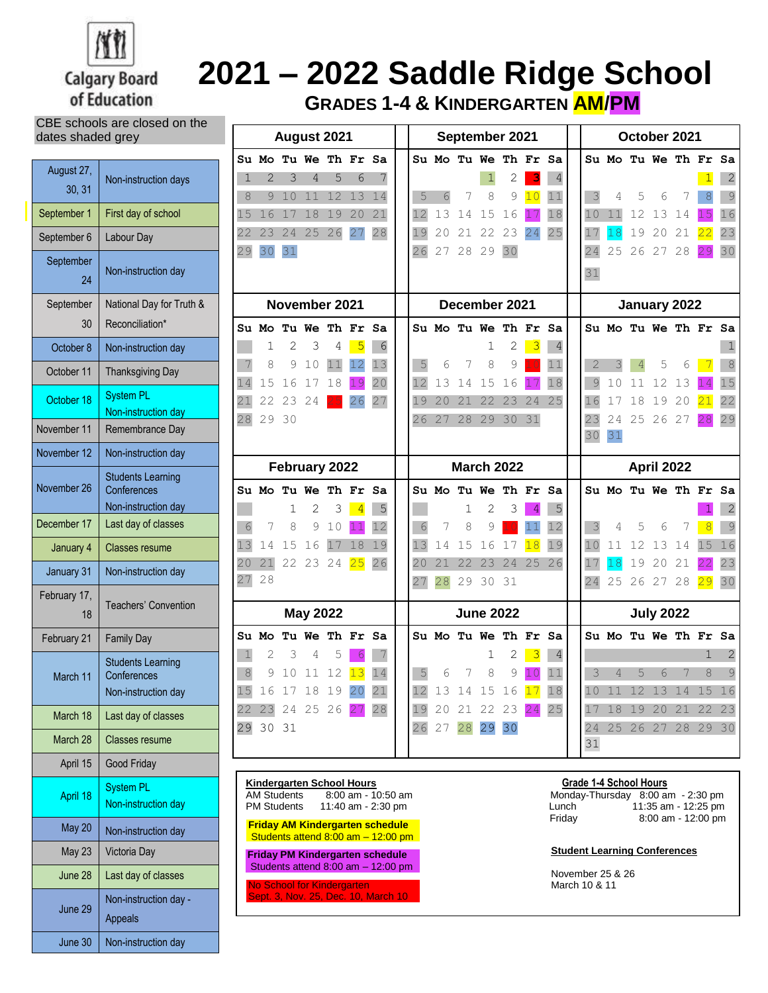

## **2021 – 2022 Saddle Ridge School**

 $\overline{\mathbf{r}}$ 

**GRADES 1-4 & KINDERGARTEN AM/PM**

CBE schools are closed on the dates shaded grey

| August 27,<br>30, 31 | Non-instruction days                                           |
|----------------------|----------------------------------------------------------------|
| September 1          | First day of school                                            |
| September 6          | Labour Day                                                     |
| September<br>24      | Non-instruction day                                            |
| September<br>30      | National Day for Truth &<br>Reconciliation*                    |
| October 8            | Non-instruction day                                            |
| October 11           | <b>Thanksgiving Day</b>                                        |
| October 18           | <b>System PL</b><br>Non-instruction day                        |
| November 11          | Remembrance Day                                                |
| November 12          | Non-instruction day                                            |
| November 26          | <b>Students Learning</b><br>Conferences<br>Non-instruction day |
| December 17          | Last day of classes                                            |
| January 4            | <b>Classes resume</b>                                          |
| January 31           | Non-instruction day                                            |
| February 17,<br>18   | <b>Teachers' Convention</b>                                    |
| February 21          | <b>Family Day</b>                                              |
| March 11             | <b>Students Learning</b><br>Conferences<br>Non-instruction day |
| March 18             | Last day of classes                                            |
| March 28             | <b>Classes resume</b>                                          |
| April 15             | Good Friday                                                    |
| April 18             | <b>System PL</b><br>Non-instruction day                        |
| May 20               | Non-instruction day                                            |
| <b>May 23</b>        | Victoria Day                                                   |
|                      |                                                                |
| June 28              | Last day of classes                                            |
| June 29              | Non-instruction day -<br><b>Appeals</b>                        |

| August 2021     |                      |    |                |    | September 2021                   |    |                   |                |          | October 2021 |                      |                         |    |          |                               |          |              |    |             |    |
|-----------------|----------------------|----|----------------|----|----------------------------------|----|-------------------|----------------|----------|--------------|----------------------|-------------------------|----|----------|-------------------------------|----------|--------------|----|-------------|----|
|                 | Su Mo Tu We Th Fr Sa |    |                |    |                                  |    |                   |                |          |              | Su Mo Tu We Th Fr Sa |                         |    |          | Su Mo Tu We Th Fr Sa          |          |              |    |             |    |
| 1               | 2                    | 3  | 4              | 5  | 6                                | 7  |                   |                |          | 1            | 2                    | 3                       | 4  |          |                               |          |              |    |             | 2  |
| 8               | 9                    | 10 | 11             | 12 | 13                               | 14 | 5                 | 6              | 7        | 8            | 9                    | 10                      | 11 | 3        | 4                             | 5        | 6            | 7  | 8           | 9  |
| 15              | 16                   | 17 | 18             | 19 | 20                               | 21 | 12                | 13             | 14       | 15           | 16                   | 17                      | 18 | 10       | 11                            | 12       | 13           | 14 | 15          | 16 |
| 22              | 23                   | 24 | 25             | 26 | 27                               | 28 | 19                | 20             | 21       | 22           | 23                   | 24                      | 25 | 17       | 18                            | 19       | 20           | 21 | 22          | 23 |
| 29              | 30                   | 31 |                |    |                                  |    | 26                | 27             | 28       | 29           | 30                   |                         |    | 24       | 25                            | 26       | 27           | 28 | 29          | 30 |
|                 |                      |    |                |    |                                  |    |                   |                |          |              |                      |                         |    | 31       |                               |          |              |    |             |    |
|                 |                      |    |                |    |                                  |    |                   |                |          |              |                      |                         |    |          |                               |          |              |    |             |    |
|                 |                      |    | November 2021  |    |                                  |    |                   |                |          |              | December 2021        |                         |    |          |                               |          | January 2022 |    |             |    |
|                 | Su Mo Tu We Th Fr Sa |    |                |    |                                  |    |                   |                |          |              | Su Mo Tu We Th Fr Sa |                         |    |          | Su Mo Tu We Th Fr Sa          |          |              |    |             |    |
|                 | 1                    | 2  | 3              | 4  | $\overline{5}$                   | 6  |                   |                |          | 1            | 2                    | $\overline{\mathbf{3}}$ | 4  |          |                               |          |              |    |             |    |
|                 | 8                    | 9  | 10             | 11 | 12                               | 13 | 5                 | 6              | 7        | 8            | 9                    |                         | 11 | 2        | 3                             | 4        | 5            | 6  |             | 8  |
| 14              | 15                   | 16 | 17             | 18 | 19                               | 20 | 12                | 13             | 14       | 15           | 16                   |                         | 18 | 9        | 10                            | 11       | 12           | 13 |             | 15 |
| 21              | 22                   | 23 | 24             |    | 26                               | 27 | 19                | 20             | 21       | 22           | 23                   | 24                      | 25 | 16       | 17                            | 18       | 19           | 20 | 21          | 22 |
| 28              | 29 30                |    |                |    |                                  |    | 26                | 27             | 28       | 29           | 30                   | 31                      |    | 23<br>30 | 24<br>31                      |          | 25 26 27     |    | 28          | 29 |
|                 |                      |    |                |    |                                  |    |                   |                |          |              |                      |                         |    |          |                               |          |              |    |             |    |
|                 |                      |    | February 2022  |    |                                  |    | <b>March 2022</b> |                |          |              |                      | April 2022              |    |          |                               |          |              |    |             |    |
|                 | Su Mo Tu We Th Fr Sa |    |                |    |                                  |    |                   |                |          |              | Su Mo Tu We Th Fr Sa |                         |    |          | Su Mo Tu We Th Fr Sa          |          |              |    |             |    |
|                 |                      | 1  | 2              | 3  | $\overline{4}$                   | 5  |                   |                | 1        | 2            | З                    | $\overline{4}$          | 5  |          |                               |          |              |    |             | 2  |
| 6               | 7                    | 8  | 9              | 10 | 11                               | 12 | 6                 | 7              | 8        | 9            |                      | 11                      | 12 |          | 4                             | 5        | 6            | 7  | 8           | 9  |
| 13              | 14                   | 15 | 16             | 17 | 18                               | 19 | 13                | 14             | 15       | 16           | 17                   | 18                      | 19 | 10       | 11                            | 12       | 13           | 14 | 15          | 16 |
| 20              | 21                   |    | 22 23 24       |    | 25                               | 26 | 20                | 21             | 22       | 23           | 24                   | 25                      | 26 | 17       | 18                            | 19       | 20           | 21 | 22          | 23 |
| 27              | 28                   |    |                |    |                                  |    | 27                | 28             | 29       | 30           | 31                   |                         |    | 24       | 25                            | 26       | 27           | 28 | 29          | 30 |
| <b>May 2022</b> |                      |    |                |    |                                  |    | <b>June 2022</b>  |                |          |              |                      | <b>July 2022</b>        |    |          |                               |          |              |    |             |    |
|                 | Su Mo                |    | Tu We Th Fr Sa |    |                                  |    |                   |                |          |              | Su Mo Tu We Th Fr Sa |                         |    |          | Su Mo Tu We Th Fr Sa          |          |              |    |             |    |
| $\mathbf{1}$    | 2                    | 3  | 4              | 5  | 6                                | 7  |                   |                |          | 1            | 2                    | $\overline{\mathbf{3}}$ | 4  |          |                               |          |              |    | $\mathbf 1$ | 2  |
| $\,8\,$         | 9                    | 10 | 11             | 12 | 13                               | 14 | 5                 | 6              | 7        | 8            | 9                    | $\bigcirc$              | 11 | 3        | 4                             | 5        | 6            | 7  | 8           | 9  |
| $15$            | 16 17 18             |    |                | 19 | 20                               | 21 | 12                |                | 13 14 15 |              | 16                   | 17                      | 18 | 10       |                               | 11 12 13 |              | 14 | 15          | 16 |
|                 | 22 23 24 25 26 27 28 |    |                |    |                                  |    |                   |                |          |              | 19 20 21 22 23 24 25 |                         |    |          | 17 18 19 20 21 22 23          |          |              |    |             |    |
|                 | 29 30 31             |    |                |    |                                  |    |                   | 26 27 28 29 30 |          |              |                      |                         |    |          | 24 25 26 27 28 29             |          |              |    |             | 30 |
|                 |                      |    |                |    |                                  |    |                   |                |          |              |                      |                         |    | 31       |                               |          |              |    |             |    |
|                 |                      |    |                |    |                                  |    |                   |                |          |              |                      |                         |    |          |                               |          |              |    |             |    |
|                 |                      |    |                |    | <b>Kindergarten School Hours</b> |    |                   |                |          |              |                      |                         |    |          | <b>Grade 1-4 School Hours</b> |          |              |    |             |    |

AM Students 8:00 am - 10:50 am Monday-Thursday 8:00 am - 2:30 pm

Students attend 8:00 am – 12:00 pm

**Friday PM Kindergarten schedule** Students attend 8:00 am – 12:00 pm

**Io School for Kindergarten** Sept. 3, Nov. 25, Dec. 10, March 10

PM Students 11:40 am - 2:30 pm Lunch 11:35 am - 12:25 pm Lunch 11:35 am - 12:25 pm Friday 8:00 am - 12:00 pm **Friday AM Kindergarten schedule**

## **Student Learning Conferences**

November 25 & 26 March 10 & 11